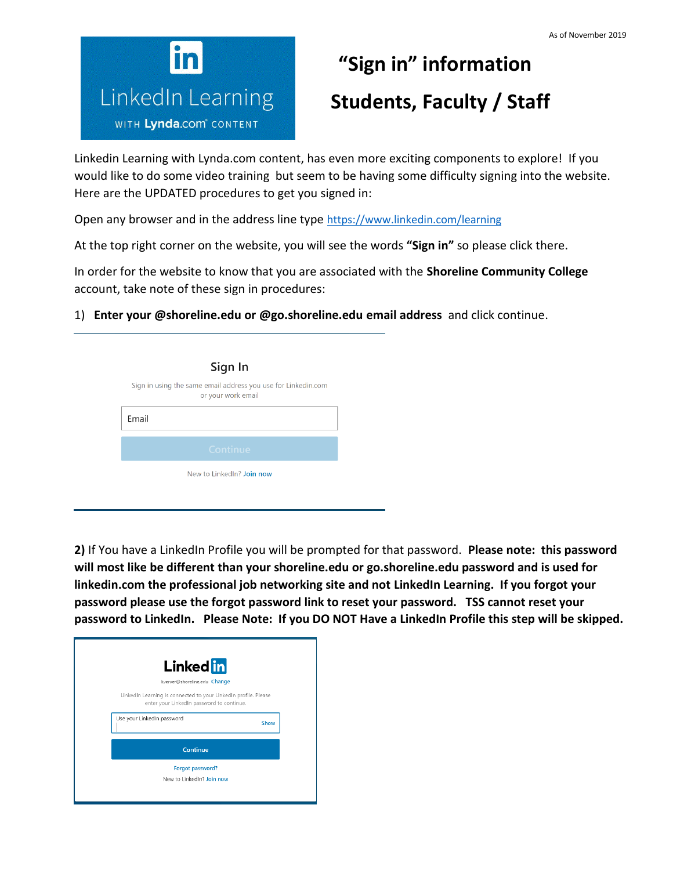

## **"Sign in" information** *LinkedIn Learning* **Students, Faculty / Staff**

Linkedin Learning with Lynda.com content, has even more exciting components to explore! If you would like to do some video training but seem to be having some difficulty signing into the website. Here are the UPDATED procedures to get you signed in:

Open any browser and in the address line type <https://www.linkedin.com/learning>

At the top right corner on the website, you will see the words **"Sign in"** so please click there.

In order for the website to know that you are associated with the **Shoreline Community College** account, take note of these sign in procedures:

1) **Enter your @shoreline.edu or @go.shoreline.edu email address** and click continue.

|       | Sign In                                                                             |
|-------|-------------------------------------------------------------------------------------|
|       | Sign in using the same email address you use for Linkedin.com<br>or your work email |
| Email |                                                                                     |
|       | Continue                                                                            |
|       | New to LinkedIn? Join now                                                           |

**2)** If You have a LinkedIn Profile you will be prompted for that password. **Please note: this password will most like be different than your shoreline.edu or go.shoreline.edu password and is used for linkedin.com the professional job networking site and not LinkedIn Learning. If you forgot your password please use the forgot password link to reset your password. TSS cannot reset your password to LinkedIn. Please Note: If you DO NOT Have a LinkedIn Profile this step will be skipped.**